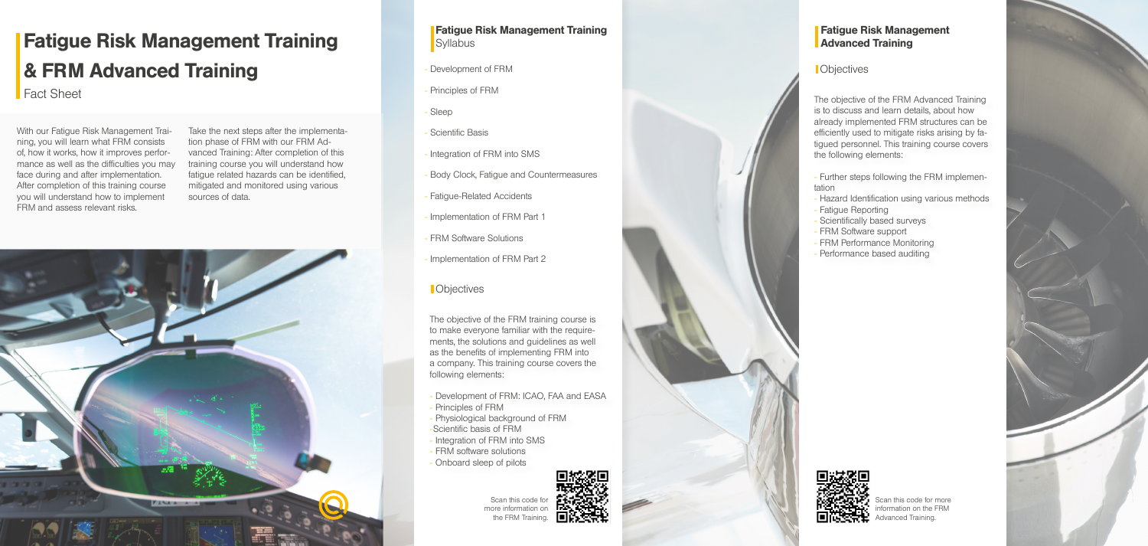- Development of FRM
- Principles of FRM
- Sleep
- Scientific Basis
- Integration of FRM into SMS
- Body Clock, Fatigue and Countermeasures
- Fatigue-Related Accidents
- Implementation of FRM Part 1
- FRM Software Solutions
- Implementation of FRM Part 2

## Fatigue Risk Management Training **Syllabus**

## **C** Objectives

The objective of the FRM training course is to make everyone familiar with the requirements, the solutions and guidelines as well as the benefits of implementing FRM into a company. This training course covers the following elements:

- Development of FRM: ICAO, FAA and EASA - Principles of FRM

## Fatigue Risk Management **Advanced Training**

**Objectives** 

- Physiological background of FRM
- -Scientific basis of FRM
- Integration of FRM into SMS
- FRM software solutions
- Onboard sleep of pilots

The objective of the FRM Advanced Training is to discuss and learn details, about how already implemented FRM structures can be efficiently used to mitigate risks arising by fatigued personnel. This training course covers the following elements:

- Further steps following the FRM implementation
- Hazard Identification using various methods
- Fatigue Reporting
- Scientifically based surveys
- FRM Software support
- FRM Performance Monitoring
- Performance based auditing



Scan this code for more formation on the FRM Advanced Training.







With our Fatigue Risk Management Training, you will learn what FRM consists of, how it works, how it improves performance as well as the difficulties you may face during and after implementation. After completion of this training course you will understand how to implement FRM and assess relevant risks.

Take the next steps after the implementation phase of FRM with our FRM Advanced Training: After completion of this training course you will understand how fatigue related hazards can be identified, mitigated and monitored using various sources of data.



## Fatigue Risk Management Training & FRM Advanced Training

Fact Sheet